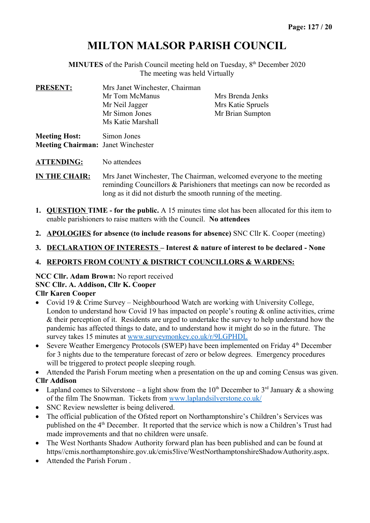# **MILTON MALSOR PARISH COUNCIL**

**MINUTES** of the Parish Council meeting held on Tuesday,  $8<sup>th</sup>$  December 2020 The meeting was held Virtually

| <b>PRESENT:</b>                                                   | Mrs Janet Winchester, Chairman<br>Mr Tom McManus<br>Mr Neil Jagger<br>Mr Simon Jones<br>Ms Katie Marshall | Mrs Brenda Jenks<br>Mrs Katie Spruels<br>Mr Brian Sumpton |
|-------------------------------------------------------------------|-----------------------------------------------------------------------------------------------------------|-----------------------------------------------------------|
| <b>Meeting Host:</b><br><b>Meeting Chairman: Janet Winchester</b> | Simon Jones                                                                                               |                                                           |

**ATTENDING:** No attendees

**IN THE CHAIR:** Mrs Janet Winchester, The Chairman, welcomed everyone to the meeting reminding Councillors & Parishioners that meetings can now be recorded as long as it did not disturb the smooth running of the meeting.

- **1. QUESTION TIME for the public.** A 15 minutes time slot has been allocated for this item to enable parishioners to raise matters with the Council. **No attendees**
- **2. APOLOGIES for absence (to include reasons for absence)** SNC Cllr K. Cooper (meeting)
- **3. DECLARATION OF INTERESTS Interest & nature of interest to be declared None**

## **4. REPORTS FROM COUNTY & DISTRICT COUNCILLORS & WARDENS:**

### **NCC Cllr. Adam Brown:** No report received **SNC Cllr. A. Addison, Cllr K. Cooper Cllr Karen Cooper**

- Covid 19 & Crime Survey Neighbourhood Watch are working with University College, London to understand how Covid 19 has impacted on people's routing & online activities, crime & their perception of it. Residents are urged to undertake the survey to help understand how the pandemic has affected things to date, and to understand how it might do so in the future. The survey takes 15 minutes at [www.surveymonkey.co.uk/r/9LGPHDL](http://www.surveymonkey.co.uk/r/9LGPHDL)
- Severe Weather Emergency Protocols (SWEP) have been implemented on Friday  $4<sup>th</sup>$  December for 3 nights due to the temperature forecast of zero or below degrees. Emergency procedures will be triggered to protect people sleeping rough.

Attended the Parish Forum meeting when a presentation on the up and coming Census was given.

## **Cllr Addison**

- Lapland comes to Silverstone a light show from the 10<sup>th</sup> December to 3<sup>rd</sup> January & a showing of the film The Snowman. Tickets from [www.laplandsilverstone.co.uk/](http://www.laplandsilverstone.co.uk/)
- SNC Review newsletter is being delivered.
- The official publication of the Ofsted report on Northamptonshire's Children's Services was published on the 4<sup>th</sup> December. It reported that the service which is now a Children's Trust had made improvements and that no children were unsafe.
- The West Northants Shadow Authority forward plan has been published and can be found at https//cmis.northamptonshire.gov.uk/cmis5live/WestNorthamptonshireShadowAuthority.aspx.
- Attended the Parish Forum .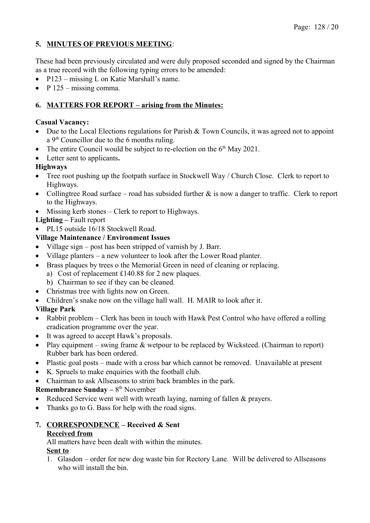## **5. MINUTES OF PREVIOUS MEETING**:

These had been previously circulated and were duly proposed seconded and signed by the Chairman as a true record with the following typing errors to be amended:

- P123 missing L on Katie Marshall's name.
- $P$  125 missing comma.

## **6. MATTERS FOR REPORT – arising from the Minutes:**

## **Casual Vacancy:**

- Due to the Local Elections regulations for Parish & Town Councils, it was agreed not to appoint a  $9<sup>th</sup>$  Councillor due to the 6 months ruling.
- The entire Council would be subject to re-election on the  $6<sup>th</sup>$  May 2021.
- Letter sent to applicants**.**

## **Highways**

- Tree root pushing up the footpath surface in Stockwell Way / Church Close. Clerk to report to Highways.
- Collingtree Road surface road has subsided further  $\&$  is now a danger to traffic. Clerk to report to the Highways.
- Missing kerb stones Clerk to report to Highways.

## **Lighting –** Fault report

• PL15 outside 16/18 Stockwell Road.

## **Village Maintenance / Environment Issues**

- Village sign post has been stripped of varnish by J. Barr.
- Village planters a new volunteer to look after the Lower Road planter.
- Brass plaques by trees o the Memorial Green in need of cleaning or replacing.
	- a) Cost of replacement £140.88 for 2 new plaques.
	- b) Chairman to see if they can be cleaned.
- Christmas tree with lights now on Green.
- Children's snake now on the village hall wall. H. MAIR to look after it.

## **Village Park**

- Rabbit problem Clerk has been in touch with Hawk Pest Control who have offered a rolling eradication programme over the year.
- It was agreed to accept Hawk's proposals.
- Play equipment swing frame  $&$  wetpour to be replaced by Wicksteed. (Chairman to report) Rubber bark has been ordered.
- Plastic goal posts made with a cross bar which cannot be removed. Unavailable at present
- K. Spruels to make enquiries with the football club.
- Chairman to ask Allseasons to strim back brambles in the park.

## **Remembrance Sunday – 8th November**

- Reduced Service went well with wreath laying, naming of fallen & prayers.
- Thanks go to G. Bass for help with the road signs.

# **7. CORRESPONDENCE – Received & Sent**

#### **Received from**

All matters have been dealt with within the minutes.

### **Sent to**

1. Glasdon – order for new dog waste bin for Rectory Lane. Will be delivered to Allseasons who will install the bin.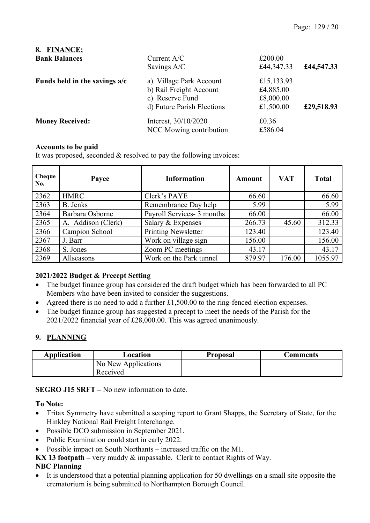| <b>FINANCE;</b><br>8.           |                            |            |            |
|---------------------------------|----------------------------|------------|------------|
| <b>Bank Balances</b>            | Current $A/C$              | £200.00    |            |
|                                 | Savings A/C                | £44,347.33 | £44,547.33 |
| Funds held in the savings $a/c$ | a) Village Park Account    | £15,133.93 |            |
|                                 | b) Rail Freight Account    | £4,885.00  |            |
|                                 | c) Reserve Fund            | £8,000.00  |            |
|                                 | d) Future Parish Elections | £1,500.00  | £29,518.93 |
| <b>Money Received:</b>          | Interest, 30/10/2020       | £0.36      |            |
|                                 | NCC Mowing contribution    | £586.04    |            |

### **Accounts to be paid**

It was proposed, seconded & resolved to pay the following invoices:

| Cheque<br>No. | Payee              | <b>Information</b>         | Amount | <b>VAT</b> | <b>Total</b> |
|---------------|--------------------|----------------------------|--------|------------|--------------|
| 2362          | <b>HMRC</b>        | Clerk's PAYE               | 66.60  |            | 66.60        |
| 2363          | B. Jenks           | Remembrance Day help       | 5.99   |            | 5.99         |
| 2364          | Barbara Osborne    | Payroll Services- 3 months | 66.00  |            | 66.00        |
| 2365          | A. Addison (Clerk) | Salary & Expenses          | 266.73 | 45.60      | 312.33       |
| 2366          | Campion School     | <b>Printing Newsletter</b> | 123.40 |            | 123.40       |
| 2367          | J. Barr            | Work on village sign       | 156.00 |            | 156.00       |
| 2368          | S. Jones           | Zoom PC meetings           | 43.17  |            | 43.17        |
| 2369          | Allseasons         | Work on the Park tunnel    | 879.97 | 176.00     | 1055.97      |

### **2021/2022 Budget & Precept Setting**

- The budget finance group has considered the draft budget which has been forwarded to all PC Members who have been invited to consider the suggestions.
- Agreed there is no need to add a further £1,500.00 to the ring-fenced election expenses.
- The budget finance group has suggested a precept to meet the needs of the Parish for the 2021/2022 financial year of £28,000.00. This was agreed unanimously.

### **9. PLANNING**

| Application | Location                        | Proposal | Comments |
|-------------|---------------------------------|----------|----------|
|             | No New Applications<br>Received |          |          |

**SEGRO J15 SRFT –** No new information to date.

#### **To Note:**

- Tritax Symmetry have submitted a scoping report to Grant Shapps, the Secretary of State, for the Hinkley National Rail Freight Interchange.
- Possible DCO submission in September 2021.
- Public Examination could start in early 2022.
- Possible impact on South Northants increased traffic on the M1.
- **KX 13 footpath** very muddy & impassable. Clerk to contact Rights of Way.

### **NBC Planning**

 It is understood that a potential planning application for 50 dwellings on a small site opposite the crematorium is being submitted to Northampton Borough Council.